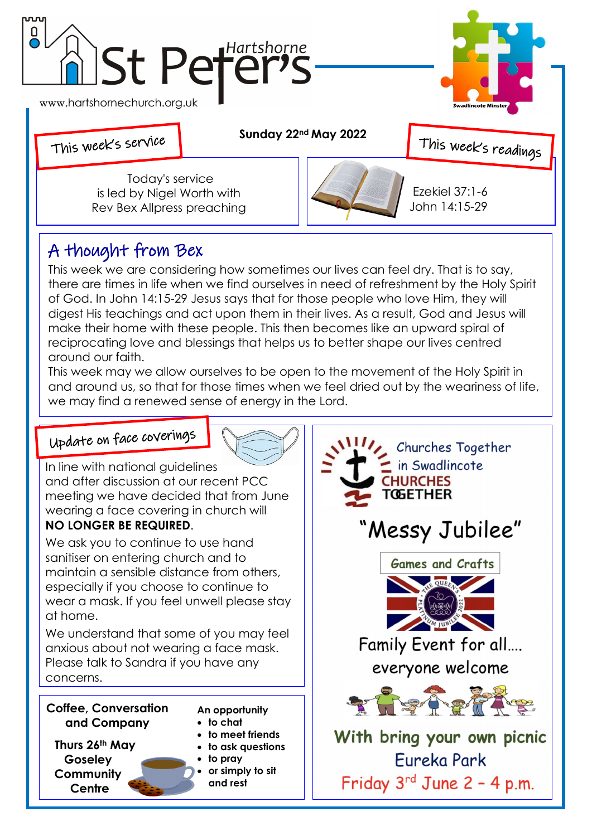

of God. In John 14:15-29 Jesus says that for those people who love Him, they will digest His teachings and act upon them in their lives. As a result, God and Jesus will make their home with these people. This then becomes like an upward spiral of reciprocating love and blessings that helps us to better shape our lives centred around our faith.

This week may we allow ourselves to be open to the movement of the Holy Spirit in and around us, so that for those times when we feel dried out by the weariness of life, we may find a renewed sense of energy in the Lord.

## Update on face coverings



In line with national guidelines and after discussion at our recent PCC meeting we have decided that from June wearing a face covering in church will **NO LONGER BE REQUIRED**.

We ask you to continue to use hand sanitiser on entering church and to maintain a sensible distance from others, especially if you choose to continue to wear a mask. If you feel unwell please stay at home.

We understand that some of you may feel anxious about not wearing a face mask. Please talk to Sandra if you have any concerns.

#### **Coffee, Conversation and Company**

- **An opportunity**
- **to chat**
- **to meet friends to ask questions**
- **Thurs 26th May Goseley Community Centre**
- **to pray or simply to sit and rest**